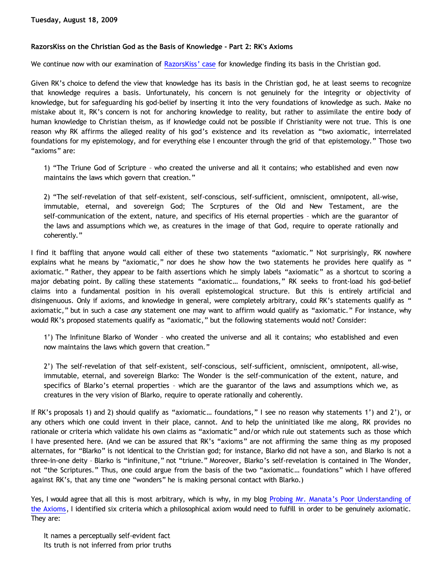## **RazorsKiss on the Christian God as the Basis of Knowledge - Part 2: RK's Axioms**

We continue now with our examination of [RazorsKiss' case](http://razorskiss.net/wp/2009/08/08/debate-transcript/) for knowledge finding its basis in the Christian god.

Given RK's choice to defend the view that knowledge has its basis in the Christian god, he at least seems to recognize that knowledge requires a basis. Unfortunately, his concern is not genuinely for the integrity or objectivity of knowledge, but for safeguarding his god-belief by inserting it into the very foundations of knowledge as such. Make no mistake about it, RK's concern is not for anchoring knowledge to reality, but rather to assimilate the entire body of human knowledge to Christian theism, as if knowledge could not be possible if Christianity were not true. This is one reason why RK affirms the alleged reality of his god's existence and its revelation as "two axiomatic, interrelated foundations for my epistemology, and for everything else I encounter through the grid of that epistemology." Those two "axioms" are:

1) "The Triune God of Scripture – who created the universe and all it contains; who established and even now maintains the laws which govern that creation."

2) "The self-revelation of that self-existent, self-conscious, self-sufficient, omniscient, omnipotent, all-wise, immutable, eternal, and sovereign God; The Scrptures of the Old and New Testament, are the self-communication of the extent, nature, and specifics of His eternal properties – which are the guarantor of the laws and assumptions which we, as creatures in the image of that God, require to operate rationally and coherently."

I find it baffling that anyone would call either of these two statements "axiomatic." Not surprisingly, RK nowhere explains what he means by "axiomatic," nor does he show how the two statements he provides here qualify as " axiomatic." Rather, they appear to be faith assertions which he simply labels "axiomatic" as a shortcut to scoring a major debating point. By calling these statements "axiomatic… foundations," RK seeks to front-load his god-belief claims into a fundamental position in his overall epistemological structure. But this is entirely artificial and disingenuous. Only if axioms, and knowledge in general, were completely arbitrary, could RK's statements qualify as " axiomatic," but in such a case *any* statement one may want to affirm would qualify as "axiomatic." For instance, why would RK's proposed statements qualify as "axiomatic," but the following statements would not? Consider:

1') The Infinitune Blarko of Wonder – who created the universe and all it contains; who established and even now maintains the laws which govern that creation."

2') The self-revelation of that self-existent, self-conscious, self-sufficient, omniscient, omnipotent, all-wise, immutable, eternal, and sovereign Blarko: The Wonder is the self-communication of the extent, nature, and specifics of Blarko's eternal properties – which are the guarantor of the laws and assumptions which we, as creatures in the very vision of Blarko, require to operate rationally and coherently.

If RK's proposals 1) and 2) should qualify as "axiomatic… foundations," I see no reason why statements 1') and 2'), or any others which one could invent in their place, cannot. And to help the uninitiated like me along, RK provides no rationale or criteria which validate his own claims as "axiomatic" and/or which rule out statements such as those which I have presented here. (And we can be assured that RK's "axioms" are not affirming the same thing as my proposed alternates, for "Blarko" is not identical to the Christian god; for instance, Blarko did not have a son, and Blarko is not a three-in-one deity – Blarko is "infinitune," not "triune." Moreover, Blarko's self-revelation is contained in The Wonder, not "the Scriptures." Thus, one could argue from the basis of the two "axiomatic… foundations" which I have offered against RK's, that any time one "wonders" he is making personal contact with Blarko.)

Yes, I would agree that all this is most arbitrary, which is why, in my blog [Probing Mr. Manata's Poor Understanding of](http://bahnsenburner.blogspot.com/2005/10/probing-mr-manatas-poor-understanding.html) [the Axioms](http://bahnsenburner.blogspot.com/2005/10/probing-mr-manatas-poor-understanding.html), I identified six criteria which a philosophical axiom would need to fulfill in order to be genuinely axiomatic. They are:

It names a perceptually self-evident fact Its truth is not inferred from prior truths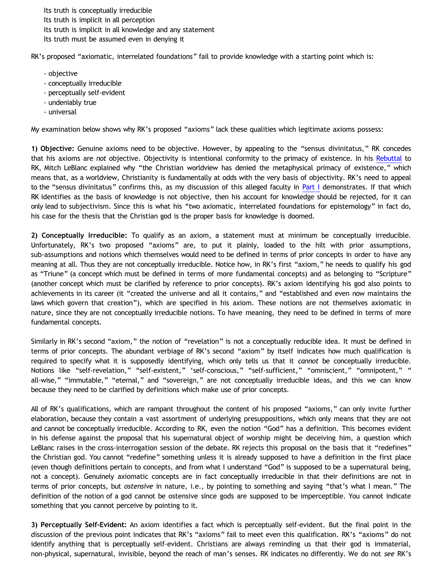Its truth is conceptually irreducible Its truth is implicit in all perception Its truth is implicit in all knowledge and any statement Its truth must be assumed even in denying it

RK's proposed "axiomatic, interrelated foundations" fail to provide knowledge with a starting point which is:

- objective
- conceptually irreducible
- perceptually self-evident
- undeniably true
- universal

My examination below shows why RK's proposed "axioms" lack these qualities which legitimate axioms possess:

**1) Objective:** Genuine axioms need to be objective. However, by appealing to the "sensus divinitatus," RK concedes that his axioms are *not* objective. Objectivity is intentional conformity to the primacy of existence. In his [Rebuttal](http://razorskiss.net/wp/2009/08/08/debate-transcript/) to RK, Mitch LeBlanc explained why "the Christian worldview has denied the metaphysical primacy of existence," which means that, as a worldview, Christianity is fundamentally at odds with the very basis of objectivity. RK's need to appeal to the "sensus divinitatus" confirms this, as my discussion of this alleged faculty in [Part I](http://bahnsenburner.blogspot.com/2009/08/razorskiss-on-christian-god-as-basis-of.html) demonstrates. If that which RK identifies as the basis of knowledge is not objective, then his account for knowledge should be rejected, for it can only lead to subjectivism. Since this is what his "two axiomatic, interrelated foundations for epistemology" in fact do, his case for the thesis that the Christian god is the proper basis for knowledge is doomed.

**2) Conceptually Irreducible:** To qualify as an axiom, a statement must at minimum be conceptually irreducible. Unfortunately, RK's two proposed "axioms" are, to put it plainly, loaded to the hilt with prior assumptions, sub-assumptions and notions which themselves would need to be defined in terms of prior concepts in order to have any meaning at all. Thus they are not conceptually irreducible. Notice how, in RK's first "axiom," he needs to qualify his god as "Triune" (a concept which must be defined in terms of more fundamental concepts) and as belonging to "Scripture" (another concept which must be clarified by reference to prior concepts). RK's axiom identifying his god also points to achievements in its career (it "created the universe and all it contains," and "established and even now maintains the laws which govern that creation"), which are specified in his axiom. These notions are not themselves axiomatic in nature, since they are not conceptually irreducible notions. To have meaning, they need to be defined in terms of more fundamental concepts.

Similarly in RK's second "axiom," the notion of "revelation" is not a conceptually reducible idea. It must be defined in terms of prior concepts. The abundant verbiage of RK's second "axiom" by itself indicates how much qualification is required to specify what it is supposedly identifying, which only tells us that it *cannot* be conceptually irreducible. Notions like "self-revelation," "self-existent," 'self-conscious," "self-sufficient," "omniscient," "omnipotent," " all-wise," "immutable," "eternal," and "sovereign," are not conceptually irreducible ideas, and this we can know because they need to be clarified by definitions which make use of prior concepts.

All of RK's qualifications, which are rampant throughout the content of his proposed "axioms," can only invite further elaboration, because they contain a vast assortment of underlying presuppositions, which only means that they are not and cannot be conceptually irreducible. According to RK, even the notion "God" has a definition. This becomes evident in his defense against the proposal that his supernatural object of worship might be deceiving him, a question which LeBlanc raises in the cross-interrogation session of the debate. RK rejects this proposal on the basis that it "redefines" the Christian god. You cannot "redefine" something unless it is already supposed to have a definition in the first place (even though definitions pertain to concepts, and from what I understand "God" is supposed to be a supernatural being, not a concept). Genuinely axiomatic concepts are in fact conceptually irreducible in that their definitions are not in terms of prior concepts, but *ostensive* in nature, i.e., by pointing to something and saying "that's what I mean." The definition of the notion of a god cannot be ostensive since gods are supposed to be imperceptible. You cannot indicate something that you cannot perceive by pointing to it.

**3) Perceptually Self-Evident:** An axiom identifies a fact which is perceptually self-evident. But the final point in the discussion of the previous point indicates that RK's "axioms" fail to meet even this qualification. RK's "axioms" do not identify anything that is perceptually self-evident. Christians are always reminding us that their god is immaterial, non-physical, supernatural, invisible, beyond the reach of man's senses. RK indicates no differently. We do not *see* RK's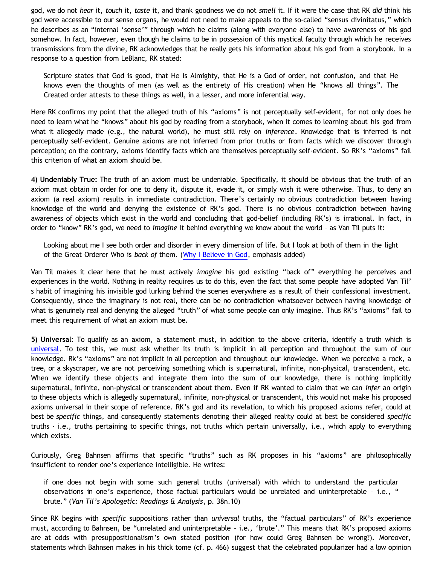god, we do not *hear* it, *touch* it, *taste* it, and thank goodness we do not *smell* it. If it were the case that RK *did* think his god were accessible to our sense organs, he would not need to make appeals to the so-called "sensus divinitatus," which he describes as an "internal 'sense'" through which he claims (along with everyone else) to have awareness of his god somehow. In fact, however, even though he claims to be in possession of this mystical faculty through which he receives transmissions from the divine, RK acknowledges that he really gets his information about his god from a storybook. In a response to a question from LeBlanc, RK stated:

Scripture states that God is good, that He is Almighty, that He is a God of order, not confusion, and that He knows even the thoughts of men (as well as the entirety of His creation) when He "knows all things". The Created order attests to these things as well, in a lesser, and more inferential way.

Here RK confirms my point that the alleged truth of his "axioms" is not perceptually self-evident, for not only does he need to learn what he "knows" about his god by reading from a storybook, when it comes to learning about his god from what it allegedly made (e.g., the natural world), he must still rely on *inference*. Knowledge that is inferred is not perceptually self-evident. Genuine axioms are not inferred from prior truths or from facts which we discover through perception; on the contrary, axioms identify facts which are themselves perceptually self-evident. So RK's "axioms" fail this criterion of what an axiom should be.

**4) Undeniably True:** The truth of an axiom must be undeniable. Specifically, it should be obvious that the truth of an axiom must obtain in order for one to deny it, dispute it, evade it, or simply wish it were otherwise. Thus, to deny an axiom (a real axiom) results in immediate contradiction. There's certainly no obvious contradiction between having knowledge of the world and denying the existence of RK's god. There is no obvious contradiction between having awareness of objects which exist in the world and concluding that god-belief (including RK's) is irrational. In fact, in order to "know" RK's god, we need to *imagine* it behind everything we know about the world – as Van Til puts it:

Looking about me I see both order and disorder in every dimension of life. But I look at both of them in the light of the Great Orderer Who is *back of* them. [\(Why I Believe in God](http://www.reformed.org/apologetics/index.html?mainframe=/apologetics/why_I_believe_cvt.html), emphasis added)

Van Til makes it clear here that he must actively *imagine* his god existing "back of" everything he perceives and experiences in the world. Nothing in reality requires us to do this, even the fact that some people have adopted Van Til' s habit of imagining his invisible god lurking behind the scenes everywhere as a result of their confessional investment. Consequently, since the imaginary is not real, there can be no contradiction whatsoever between having knowledge of what is genuinely real and denying the alleged "truth" of what some people can only imagine. Thus RK's "axioms" fail to meet this requirement of what an axiom must be.

**5) Universal:** To qualify as an axiom, a statement must, in addition to the above criteria, identify a truth which is [universal](http://bahnsenburner.blogspot.com/2009/06/demystifying-universality.html). To test this, we must ask whether its truth is implicit in all perception and throughout the sum of our knowledge. Rk's "axioms" are not implicit in all perception and throughout our knowledge. When we perceive a rock, a tree, or a skyscraper, we are not perceiving something which is supernatural, infinite, non-physical, transcendent, etc. When we identify these objects and integrate them into the sum of our knowledge, there is nothing implicitly supernatural, infinite, non-physical or transcendent about them. Even if RK wanted to claim that we can *infer* an origin to these objects which is allegedly supernatural, infinite, non-physical or transcendent, this would not make his proposed axioms universal in their scope of reference. RK's god and its revelation, to which his proposed axioms refer, could at best be *specific* things, and consequently statements denoting their alleged reality could at best be considered *specific* truths - i.e., truths pertaining to specific things, not truths which pertain universally, i.e., which apply to everything which exists.

Curiously, Greg Bahnsen affirms that specific "truths" such as RK proposes in his "axioms" are philosophically insufficient to render one's experience intelligible. He writes:

if one does not begin with some such general truths (universal) with which to understand the particular observations in one's experience, those factual particulars would be unrelated and uninterpretable – i.e., " brute." (*Van Til's Apologetic: Readings & Analysis*, p. 38n.10)

Since RK begins with *specific* suppositions rather than *universal* truths, the "factual particulars" of RK's experience must, according to Bahnsen, be "unrelated and uninterpretable – i.e., 'brute'." This means that RK's proposed axioms are at odds with presuppositionalism's own stated position (for how could Greg Bahnsen be wrong?). Moreover, statements which Bahnsen makes in his thick tome (cf. p. 466) suggest that the celebrated popularizer had a low opinion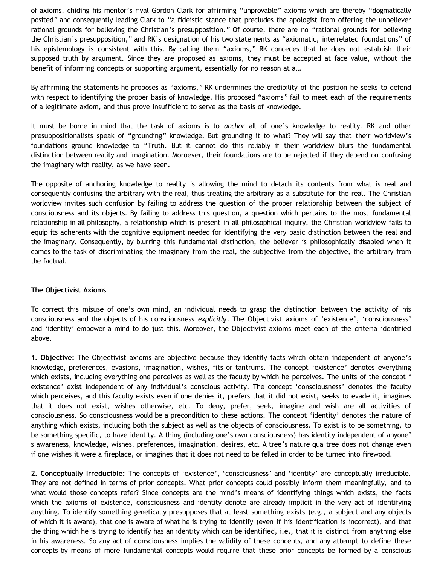of axioms, chiding his mentor's rival Gordon Clark for affirming "unprovable" axioms which are thereby "dogmatically posited" and consequently leading Clark to "a fideistic stance that precludes the apologist from offering the unbeliever rational grounds for believing the Christian's presupposition." Of course, there are no "rational grounds for believing the Christian's presupposition," and RK's designation of his two statements as "axiomatic, interrelated foundations" of his epistemology is consistent with this. By calling them "axioms," RK concedes that he does not establish their supposed truth by argument. Since they are proposed as axioms, they must be accepted at face value, without the benefit of informing concepts or supporting argument, essentially for no reason at all.

By affirming the statements he proposes as "axioms," RK undermines the credibility of the position he seeks to defend with respect to identifying the proper basis of knowledge. His proposed "axioms" fail to meet each of the requirements of a legitimate axiom, and thus prove insufficient to serve as the basis of knowledge.

It must be borne in mind that the task of axioms is to *anchor* all of one's knowledge to reality. RK and other presuppositionalists speak of "grounding" knowledge. But grounding it to what? They will say that their worldview's foundations ground knowledge to "Truth. But it cannot do this reliably if their worldview blurs the fundamental distinction between reality and imagination. Moroever, their foundations are to be rejected if they depend on confusing the imaginary with reality, as we have seen.

The opposite of anchoring knowledge to reality is allowing the mind to detach its contents from what is real and consequently confusing the arbitrary with the real, thus treating the arbitrary as a substitute for the real. The Christian worldview invites such confusion by failing to address the question of the proper relationship between the subject of consciousness and its objects. By failing to address this question, a question which pertains to the most fundamental relationship in all philosophy, a relationship which is present in all philosophical inquiry, the Christian worldview fails to equip its adherents with the cognitive equipment needed for identifying the very basic distinction between the real and the imaginary. Consequently, by blurring this fundamental distinction, the believer is philosophically disabled when it comes to the task of discriminating the imaginary from the real, the subjective from the objective, the arbitrary from the factual.

## **The Objectivist Axioms**

To correct this misuse of one's own mind, an individual needs to grasp the distinction between the activity of his consciousness and the objects of his consciousness *explicitly*. The Objectivist axioms of 'existence', 'consciousness' and 'identity' empower a mind to do just this. Moreover, the Objectivist axioms meet each of the criteria identified above.

**1. Objective:** The Objectivist axioms are objective because they identify facts which obtain independent of anyone's knowledge, preferences, evasions, imagination, wishes, fits or tantrums. The concept 'existence' denotes everything which exists, including everything one perceives as well as the faculty by which he perceives. The units of the concept ' existence' exist independent of any individual's conscious activity. The concept 'consciousness' denotes the faculty which perceives, and this faculty exists even if one denies it, prefers that it did not exist, seeks to evade it, imagines that it does not exist, wishes otherwise, etc. To deny, prefer, seek, imagine and wish are all activities of consciousness. So consciousness would be a precondition to these actions. The concept 'identity' denotes the nature of anything which exists, including both the subject as well as the objects of consciousness. To exist is to be something, to be something specific, to have identity. A thing (including one's own consciousness) has identity independent of anyone' s awareness, knowledge, wishes, preferences, imagination, desires, etc. A tree's nature qua tree does not change even if one wishes it were a fireplace, or imagines that it does not need to be felled in order to be turned into firewood.

**2. Conceptually Irreducible:** The concepts of 'existence', 'consciousness' and 'identity' are conceptually irreducible. They are not defined in terms of prior concepts. What prior concepts could possibly inform them meaningfully, and to what would those concepts refer? Since concepts are the mind's means of identifying things which exists, the facts which the axioms of existence, consciousness and identity denote are already implicit in the very act of identifying anything. To identify something genetically presupposes that at least something exists (e.g., a subject and any objects of which it is aware), that one is aware of what he is trying to identify (even if his identification is incorrect), and that the thing which he is trying to identify has an identity which can be identified, i.e., that it is distinct from anything else in his awareness. So any act of consciousness implies the validity of these concepts, and any attempt to define these concepts by means of more fundamental concepts would require that these prior concepts be formed by a conscious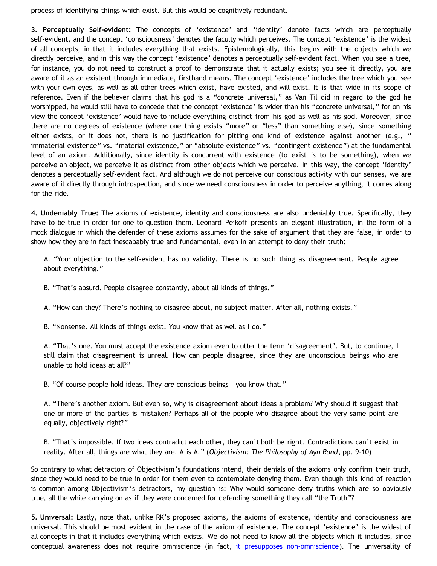process of identifying things which exist. But this would be cognitively redundant.

**3. Perceptually Self-evident:** The concepts of 'existence' and 'identity' denote facts which are perceptually self-evident, and the concept 'consciousness' denotes the faculty which perceives. The concept 'existence' is the widest of all concepts, in that it includes everything that exists. Epistemologically, this begins with the objects which we directly perceive, and in this way the concept 'existence' denotes a perceptually self-evident fact. When you see a tree, for instance, you do not need to construct a proof to demonstrate that it actually exists; you see it directly, you are aware of it as an existent through immediate, firsthand means. The concept 'existence' includes the tree which you see with your own eyes, as well as all other trees which exist, have existed, and will exist. It is that wide in its scope of reference. Even if the believer claims that his god is a "concrete universal," as Van Til did in regard to the god he worshipped, he would still have to concede that the concept 'existence' is wider than his "concrete universal," for on his view the concept 'existence' would have to include everything distinct from his god as well as his god. Moreover, since there are no degrees of existence (where one thing exists "more" or "less" than something else), since something either exists, or it does not, there is no justification for pitting one kind of existence against another (e.g., " immaterial existence" vs. "material existence," or "absolute existence" vs. "contingent existence") at the fundamental level of an axiom. Additionally, since identity is concurrent with existence (to exist is to be something), when we perceive an object, we perceive it as distinct from other objects which we perceive. In this way, the concept 'identity' denotes a perceptually self-evident fact. And although we do not perceive our conscious activity with our senses, we are aware of it directly through introspection, and since we need consciousness in order to perceive anything, it comes along for the ride.

**4. Undeniably True:** The axioms of existence, identity and consciousness are also undeniably true. Specifically, they have to be true in order for one to question them. Leonard Peikoff presents an elegant illustration, in the form of a mock dialogue in which the defender of these axioms assumes for the sake of argument that they are false, in order to show how they are in fact inescapably true and fundamental, even in an attempt to deny their truth:

A. "Your objection to the self-evident has no validity. There is no such thing as disagreement. People agree about everything."

B. "That's absurd. People disagree constantly, about all kinds of things."

A. "How can they? There's nothing to disagree about, no subject matter. After all, nothing exists."

B. "Nonsense. All kinds of things exist. You know that as well as I do."

A. "That's one. You must accept the existence axiom even to utter the term 'disagreement'. But, to continue, I still claim that disagreement is unreal. How can people disagree, since they are unconscious beings who are unable to hold ideas at all?"

B. "Of course people hold ideas. They *are* conscious beings – you know that."

A. "There's another axiom. But even so, why is disagreement about ideas a problem? Why should it suggest that one or more of the parties is mistaken? Perhaps all of the people who disagree about the very same point are equally, objectively right?"

B. "That's impossible. If two ideas contradict each other, they can't both be right. Contradictions can't exist in reality. After all, things are what they are. A is A." (*Objectivism: The Philosophy of Ayn Rand*, pp. 9-10)

So contrary to what detractors of Objectivism's foundations intend, their denials of the axioms only confirm their truth, since they would need to be true in order for them even to contemplate denying them. Even though this kind of reaction is common among Objectivism's detractors, my question is: Why would someone deny truths which are so obviously true, all the while carrying on as if they were concerned for defending something they call "the Truth"?

**5. Universal:** Lastly, note that, unlike RK's proposed axioms, the axioms of existence, identity and consciousness are universal. This should be most evident in the case of the axiom of existence. The concept 'existence' is the widest of all concepts in that it includes everything which exists. We do not need to know all the objects which it includes, since conceptual awareness does not require omniscience (in fact, [it presupposes non-omniscience\)](http://bahnsenburner.blogspot.com/2007/04/would-omniscient-mind-have-knowledge-in.html). The universality of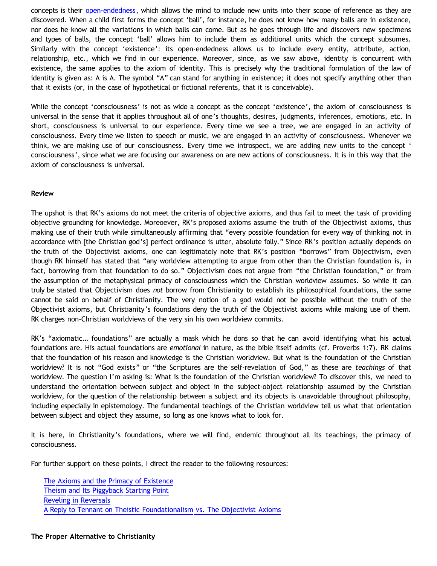concepts is their [open-endedness](http://bahnsenburner.blogspot.com/2009/06/demystifying-universality.html), which allows the mind to include new units into their scope of reference as they are discovered. When a child first forms the concept 'ball', for instance, he does not know how many balls are in existence, nor does he know all the variations in which balls can come. But as he goes through life and discovers new specimens and types of balls, the concept 'ball' allows him to include them as additional units which the concept subsumes. Similarly with the concept 'existence': its open-endedness allows us to include every entity, attribute, action, relationship, etc., which we find in our experience. Moreover, since, as we saw above, identity is concurrent with existence, the same applies to the axiom of identity. This is precisely why the traditional formulation of the law of identity is given as: A is A. The symbol "A" can stand for anything in existence; it does not specify anything other than that it exists (or, in the case of hypothetical or fictional referents, that it is conceivable).

While the concept 'consciousness' is not as wide a concept as the concept 'existence', the axiom of consciousness is universal in the sense that it applies throughout all of one's thoughts, desires, judgments, inferences, emotions, etc. In short, consciousness is universal to our experience. Every time we see a tree, we are engaged in an activity of consciousness. Every time we listen to speech or music, we are engaged in an activity of consciousness. Whenever we think, we are making use of our consciousness. Every time we introspect, we are adding new units to the concept ' consciousness', since what we are focusing our awareness on are new actions of consciousness. It is in this way that the axiom of consciousness is universal.

## **Review**

The upshot is that RK's axioms do not meet the criteria of objective axioms, and thus fail to meet the task of providing objective grounding for knowledge. Moreoever, RK's proposed axioms assume the truth of the Objectivist axioms, thus making use of their truth while simultaneously affirming that "every possible foundation for every way of thinking not in accordance with [the Christian god's] perfect ordinance is utter, absolute folly." Since RK's position actually depends on the truth of the Objectivist axioms, one can legitimately note that RK's position "borrows" from Objectivism, even though RK himself has stated that "any worldview attempting to argue from other than the Christian foundation is, in fact, borrowing from that foundation to do so." Objectivism does not argue from "the Christian foundation," or from the assumption of the metaphysical primacy of consciousness which the Christian worldview assumes. So while it can truly be stated that Objectivism does *not* borrow from Christianity to establish its philosophical foundations, the same cannot be said on behalf of Christianity. The very notion of a god would not be possible without the truth of the Objectivist axioms, but Christianity's foundations deny the truth of the Objectivist axioms while making use of them. RK charges non-Christian worldviews of the very sin his own worldview commits.

RK's "axiomatic… foundations" are actually a mask which he dons so that he can avoid identifying what his actual foundations are. His actual foundations are *emotional* in nature, as the bible itself admits (cf. Proverbs 1:7). RK claims that the foundation of his reason and knowledge is the Christian worldview. But what is the foundation of the Christian worldview? It is not "God exists" or "the Scriptures are the self-revelation of God," as these are *teachings* of that worldview. The question I'm asking is: What is the foundation of the Christian worldview? To discover this, we need to understand the orientation between subject and object in the subject-object relationship assumed by the Christian worldview, for the question of the relationship between a subject and its objects is unavoidable throughout philosophy, including especially in epistemology. The fundamental teachings of the Christian worldview tell us what that orientation between subject and object they assume, so long as one knows what to look for.

It is here, in Christianity's foundations, where we will find, endemic throughout all its teachings, the primacy of consciousness.

For further support on these points, I direct the reader to the following resources:

[The Axioms and the Primacy of Existence](http://bahnsenburner.blogspot.com/2006/12/axioms-and-primacy-of-existence.html) [Theism and Its Piggyback Starting Point](http://bahnsenburner.blogspot.com/2006/07/theism-and-its-piggyback-starting.html) [Reveling in Reversals](http://bahnsenburner.blogspot.com/2006/12/reveling-in-reversals.html) [A Reply to Tennant on Theistic Foundationalism vs. The Objectivist Axioms](http://bahnsenburner.blogspot.com/2008/10/reply-to-tennant-on-theistic.html)